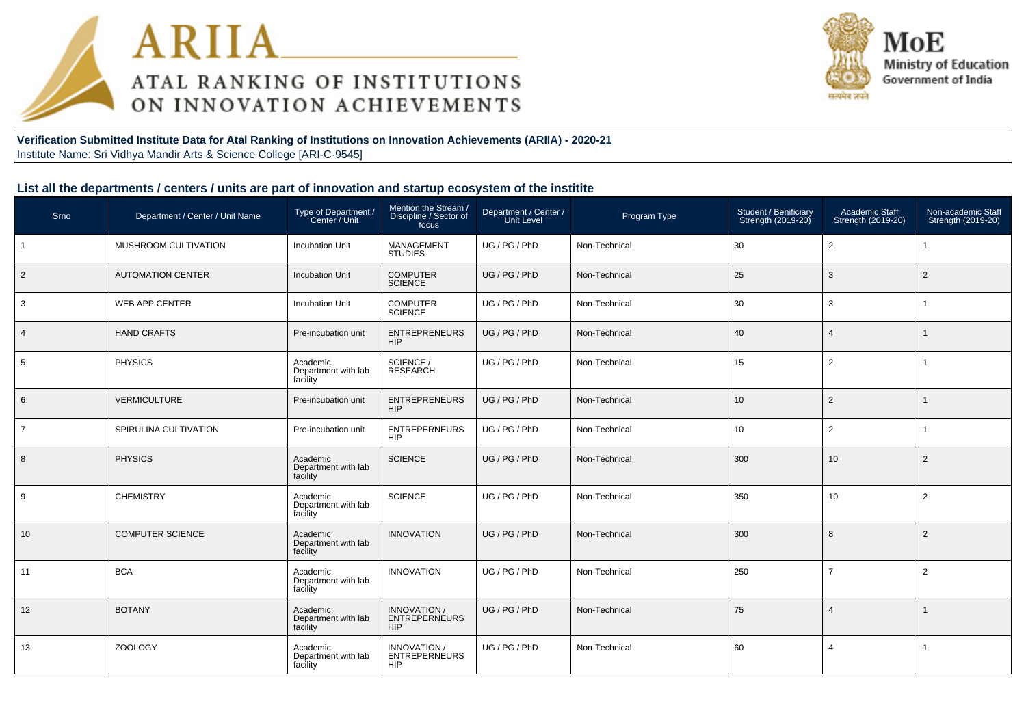



**Verification Submitted Institute Data for Atal Ranking of Institutions on Innovation Achievements (ARIIA) - 2020-21**Institute Name: Sri Vidhya Mandir Arts & Science College [ARI-C-9545]

#### **List all the departments / centers / units are part of innovation and startup ecosystem of the institite**

| Srno           | Department / Center / Unit Name | Type of Department /<br>Center / Unit       | Mention the Stream /<br>Discipline / Sector of<br>focus   | Department / Center /<br>Unit Level | Program Type  | Student / Benificiary<br>Strength (2019-20) | Academic Staff<br>Strength (2019-20) | Non-academic Staff<br>Strength (2019-20) |
|----------------|---------------------------------|---------------------------------------------|-----------------------------------------------------------|-------------------------------------|---------------|---------------------------------------------|--------------------------------------|------------------------------------------|
| $\overline{1}$ | MUSHROOM CULTIVATION            | <b>Incubation Unit</b>                      | MANAGEMENT<br><b>STUDIES</b>                              | UG / PG / PhD                       | Non-Technical | 30                                          | $\overline{2}$                       |                                          |
| $\overline{2}$ | <b>AUTOMATION CENTER</b>        | <b>Incubation Unit</b>                      | <b>COMPUTER</b><br><b>SCIENCE</b>                         | UG / PG / PhD                       | Non-Technical | 25                                          | 3                                    | $\overline{2}$                           |
| 3              | WEB APP CENTER                  | <b>Incubation Unit</b>                      | <b>COMPUTER</b><br><b>SCIENCE</b>                         | UG/PG/PhD                           | Non-Technical | 30                                          | 3                                    |                                          |
| $\overline{4}$ | <b>HAND CRAFTS</b>              | Pre-incubation unit                         | <b>ENTREPRENEURS</b><br><b>HIP</b>                        | UG / PG / PhD                       | Non-Technical | 40                                          | $\overline{4}$                       |                                          |
| 5              | <b>PHYSICS</b>                  | Academic<br>Department with lab<br>facility | SCIENCE /<br><b>RESEARCH</b>                              | UG / PG / PhD                       | Non-Technical | 15                                          | $\overline{2}$                       |                                          |
| 6              | VERMICULTURE                    | Pre-incubation unit                         | <b>ENTREPRENEURS</b><br><b>HIP</b>                        | UG / PG / PhD                       | Non-Technical | 10                                          | 2                                    |                                          |
| $\overline{7}$ | SPIRULINA CULTIVATION           | Pre-incubation unit                         | <b>ENTREPERNEURS</b><br><b>HIP</b>                        | UG / PG / PhD                       | Non-Technical | 10                                          | $\overline{2}$                       | 1                                        |
| 8              | <b>PHYSICS</b>                  | Academic<br>Department with lab<br>facility | <b>SCIENCE</b>                                            | UG / PG / PhD                       | Non-Technical | 300                                         | 10                                   | $\overline{2}$                           |
| 9              | <b>CHEMISTRY</b>                | Academic<br>Department with lab<br>facility | <b>SCIENCE</b>                                            | UG / PG / PhD                       | Non-Technical | 350                                         | 10                                   | $\overline{2}$                           |
| 10             | <b>COMPUTER SCIENCE</b>         | Academic<br>Department with lab<br>facility | <b>INNOVATION</b>                                         | UG / PG / PhD                       | Non-Technical | 300                                         | 8                                    | $\overline{2}$                           |
| 11             | <b>BCA</b>                      | Academic<br>Department with lab<br>facility | <b>INNOVATION</b>                                         | UG / PG / PhD                       | Non-Technical | 250                                         | $\overline{7}$                       | $\overline{2}$                           |
| 12             | <b>BOTANY</b>                   | Academic<br>Department with lab<br>facility | <b>INNOVATION /</b><br><b>ENTREPERNEURS</b><br><b>HIP</b> | UG / PG / PhD                       | Non-Technical | 75                                          | $\overline{4}$                       |                                          |
| 13             | <b>ZOOLOGY</b>                  | Academic<br>Department with lab<br>facility | INNOVATION /<br><b>ENTREPERNEURS</b><br><b>HIP</b>        | UG / PG / PhD                       | Non-Technical | 60                                          | $\overline{4}$                       | 1                                        |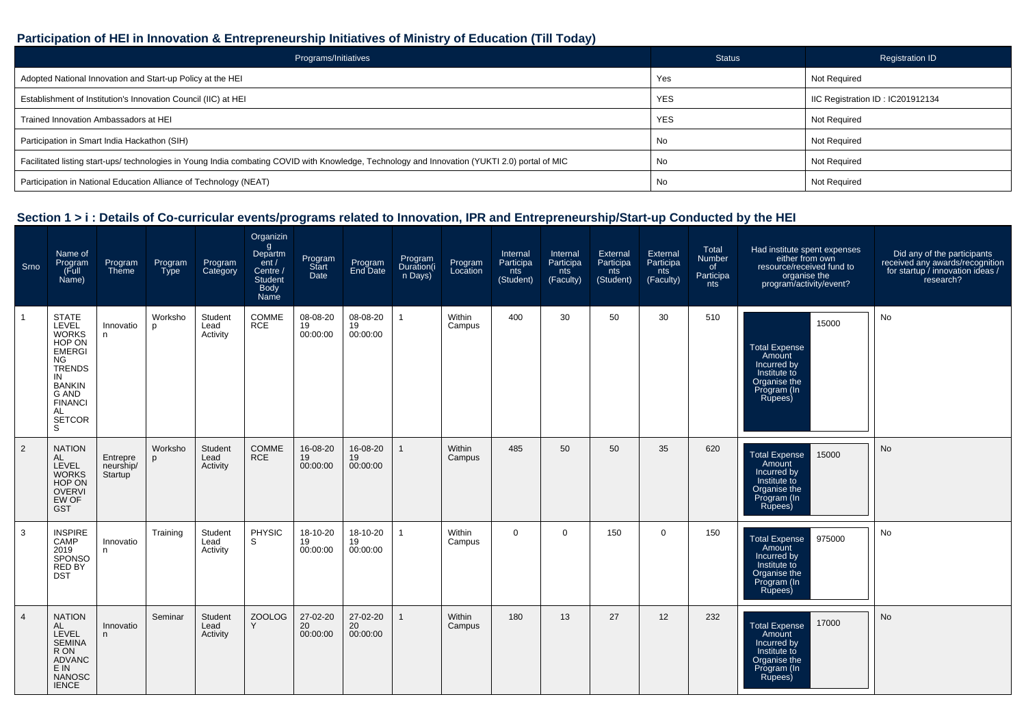## **Participation of HEI in Innovation & Entrepreneurship Initiatives of Ministry of Education (Till Today)**

| Programs/Initiatives                                                                                                                           | <b>Status</b> | <b>Registration ID</b>          |
|------------------------------------------------------------------------------------------------------------------------------------------------|---------------|---------------------------------|
| Adopted National Innovation and Start-up Policy at the HEI                                                                                     | Yes           | Not Required                    |
| Establishment of Institution's Innovation Council (IIC) at HEI                                                                                 | <b>YES</b>    | IC Registration ID: IC201912134 |
| Trained Innovation Ambassadors at HEI                                                                                                          | <b>YES</b>    | Not Required                    |
| Participation in Smart India Hackathon (SIH)                                                                                                   | No            | Not Required                    |
| Facilitated listing start-ups/ technologies in Young India combating COVID with Knowledge, Technology and Innovation (YUKTI 2.0) portal of MIC | No            | Not Required                    |
| Participation in National Education Alliance of Technology (NEAT)                                                                              | No            | <b>Not Required</b>             |

## **Section 1 > i : Details of Co-curricular events/programs related to Innovation, IPR and Entrepreneurship/Start-up Conducted by the HEI**

| Srno           | Name of<br>Program<br>(Full<br>Name)                                                                                                                                                  | Program<br>Theme                 | Program<br><b>Type</b> | Program<br>Category         | Organizin<br>g<br>Departm<br>ent/<br>Centre /<br><b>Student</b><br><b>Body</b><br>Name | Program<br>Start<br>Date   | Program<br>End Date        | Program<br>Duration(i<br>n Days) | Program<br>Location | Internal<br>Participa<br>nts<br>(Student) | Internal<br>Participa<br>nts<br>(Faculty) | External<br>Participa<br>nts<br>(Student) | External<br>Participa<br>nts<br>(Faculty) | Total<br>Number<br>of<br>Participa<br>nts | Had institute spent expenses<br>either from own<br>resource/received fund to<br>organise the<br>program/activity/event? | Did any of the participants<br>received any awards/recognition<br>for startup / innovation ideas /<br>research? |
|----------------|---------------------------------------------------------------------------------------------------------------------------------------------------------------------------------------|----------------------------------|------------------------|-----------------------------|----------------------------------------------------------------------------------------|----------------------------|----------------------------|----------------------------------|---------------------|-------------------------------------------|-------------------------------------------|-------------------------------------------|-------------------------------------------|-------------------------------------------|-------------------------------------------------------------------------------------------------------------------------|-----------------------------------------------------------------------------------------------------------------|
|                | <b>STATE</b><br>LEVEL<br><b>WORKS</b><br>HOP ON<br><b>EMERGI</b><br>NG.<br><b>TRENDS</b><br>IN<br><b>BANKIN</b><br><b>G AND</b><br><b>FINANCI</b><br><b>AL</b><br><b>SETCOR</b><br>S. | Innovatio<br>n.                  | Worksho<br>p           | Student<br>Lead<br>Activity | COMME<br><b>RCE</b>                                                                    | 08-08-20<br>19<br>00:00:00 | 08-08-20<br>19<br>00:00:00 |                                  | Within<br>Campus    | 400                                       | 30                                        | 50                                        | 30                                        | 510                                       | 15000<br><b>Total Expense</b><br>Amount<br>Incurred by<br>Institute to<br>Organise the<br>Program (In<br>Rupees)        | No                                                                                                              |
| $\overline{2}$ | <b>NATION</b><br>AL<br>LEVEL<br><b>WORKS</b><br>HOP ON<br><b>OVERVI</b><br>EW OF<br><b>GST</b>                                                                                        | Entrepre<br>neurship/<br>Startup | Worksho<br>р           | Student<br>Lead<br>Activity | COMME<br><b>RCE</b>                                                                    | 16-08-20<br>19<br>00:00:00 | 16-08-20<br>19<br>00:00:00 |                                  | Within<br>Campus    | 485                                       | 50                                        | 50                                        | 35                                        | 620                                       | <b>Total Expense</b><br>15000<br>Amount<br>Incurred by<br>Institute to<br>Organise the<br>Program (In<br>Rupees)        | No                                                                                                              |
| 3              | <b>INSPIRE</b><br>CAMP<br>2019<br>SPONSO<br>RED BY<br><b>DST</b>                                                                                                                      | Innovatio<br>n.                  | Training               | Student<br>Lead<br>Activity | PHYSIC<br>S                                                                            | 18-10-20<br>19<br>00:00:00 | 18-10-20<br>19<br>00:00:00 |                                  | Within<br>Campus    | $\mathbf 0$                               | 0                                         | 150                                       | $\Omega$                                  | 150                                       | <b>Total Expense</b><br>975000<br>Amount<br>Incurred by<br>Institute to<br>Organise the<br>Program (In<br>Rupees)       | No                                                                                                              |
| $\overline{4}$ | <b>NATION</b><br>AL<br>LEVEL<br><b>SEMINA</b><br>R ON<br><b>ADVANC</b><br>E IN<br><b>NANOSC</b><br><b>IENCE</b>                                                                       | Innovatio<br>n                   | Seminar                | Student<br>Lead<br>Activity | <b>ZOOLOG</b><br>Y                                                                     | 27-02-20<br>20<br>00:00:00 | 27-02-20<br>20<br>00:00:00 |                                  | Within<br>Campus    | 180                                       | 13                                        | 27                                        | 12                                        | 232                                       | 17000<br><b>Total Expense</b><br>Amount<br>Incurred by<br>Institute to<br>Organise the<br>Program (In<br>Rupees)        | <b>No</b>                                                                                                       |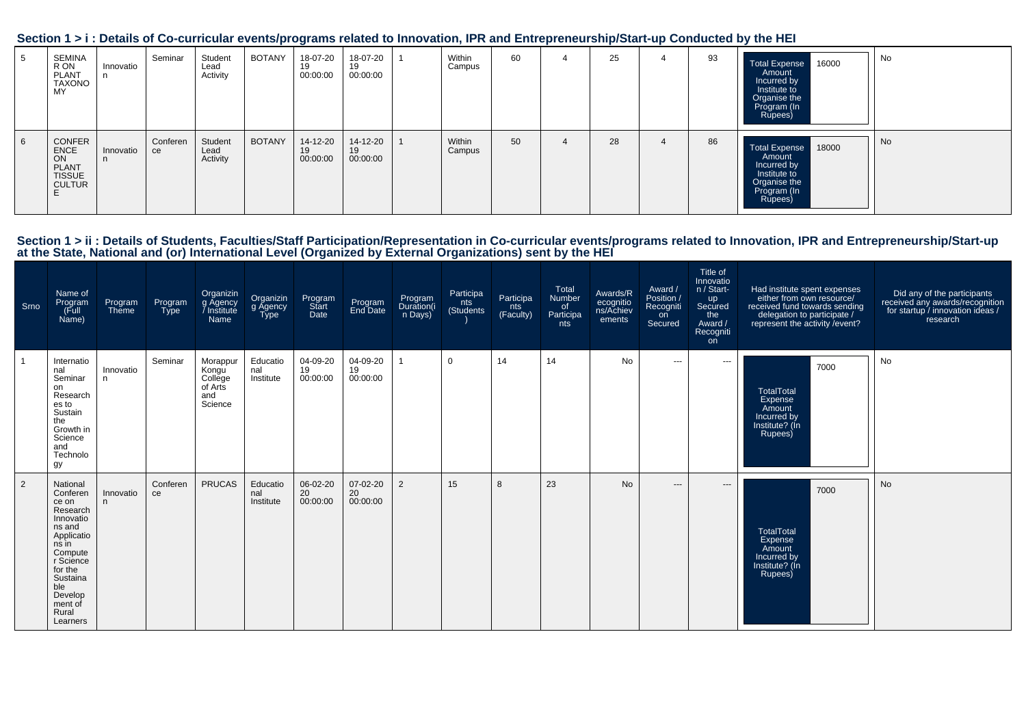| Section 1 > i : Details of Co-curricular events/programs related to Innovation, IPR and Entrepreneurship/Start-up Conducted by the HEI |  |  |
|----------------------------------------------------------------------------------------------------------------------------------------|--|--|
|                                                                                                                                        |  |  |

| SEMINA<br>R ON<br>PLANT<br><b>TAXONO</b><br>MY.                        | Innovatio | Seminar        | Student<br>Lead<br>Activity | BOTANY | 18-07-20<br>19<br>00:00:00 | 18-07-20<br>19<br>00:00:00 | Within<br>Campus | 60 | 4 | 25 |   | 93 | <b>Total Expense</b><br>16000<br>Amount<br>Incurred by<br>Institute to<br>Organise the<br>Program (In<br>Rupees) | No |
|------------------------------------------------------------------------|-----------|----------------|-----------------------------|--------|----------------------------|----------------------------|------------------|----|---|----|---|----|------------------------------------------------------------------------------------------------------------------|----|
| CONFER<br><b>ENCE</b><br>ON<br>PLANT<br><b>TISSUE</b><br><b>CULTUR</b> | Innovatio | Conferen<br>ce | Student<br>Lead<br>Activity | BOTANY | 14-12-20<br>19<br>00:00:00 | 14-12-20<br>19<br>00:00:00 | Within<br>Campus | 50 | 4 | 28 | 4 | 86 | Total Expense 18000<br>Amount<br>Incurred by<br>Institute to<br>Organise the<br>Program (In<br>Rupees)           | No |

| Srno | Name of<br>Program<br>Full)<br>Name)                                                                                                                                                     | Program<br>Theme | Program<br><b>Type</b> | Organizin<br>g Agency<br>Institute<br>Name                | Organizin<br>g Agency<br><b>Type</b> | Program<br>Start<br>Date   | Program<br>End Date        | Program<br>Duration(i<br>n Days) | Participa<br>nts<br>(Students) | Participa<br>nts<br>(Faculty) | Total<br>Number<br>of<br>Participa<br>nts | Awards/R<br>ecognitio<br>ns/Achiev<br>ements | Award /<br>Position /<br>Recogniti<br>on<br>Secured | <b>Title of</b><br>Innovatio<br>n / Start-<br>up<br>Secured<br>the<br>Award /<br>Recogniti<br>on | Had institute spent expenses<br>either from own resource/<br>received fund towards sending<br>delegation to participate /<br>represent the activity / event? | Did any of the participants<br>received any awards/recognition<br>for startup / innovation ideas /<br>research |
|------|------------------------------------------------------------------------------------------------------------------------------------------------------------------------------------------|------------------|------------------------|-----------------------------------------------------------|--------------------------------------|----------------------------|----------------------------|----------------------------------|--------------------------------|-------------------------------|-------------------------------------------|----------------------------------------------|-----------------------------------------------------|--------------------------------------------------------------------------------------------------|--------------------------------------------------------------------------------------------------------------------------------------------------------------|----------------------------------------------------------------------------------------------------------------|
|      | Internatio<br>nal<br>Seminar<br>on<br>Research<br>es to<br>Sustain<br>the<br>Growth in<br>Science<br>and<br>Technolo<br>gy                                                               | Innovatio<br>n.  | Seminar                | Morappur<br>Kongu<br>College<br>of Arts<br>and<br>Science | Educatio<br>nal<br>Institute         | 04-09-20<br>19<br>00:00:00 | 04-09-20<br>19<br>00:00:00 |                                  | $\mathbf 0$                    | 14                            | 14                                        | <b>No</b>                                    | $\cdots$                                            | $\qquad \qquad -\qquad$                                                                          | 7000<br><b>TotalTotal</b><br>Expense<br>Amount<br>Incurred by<br>Institute? (In<br>Rupees)                                                                   | No                                                                                                             |
| 2    | National<br>Conferen<br>ce on<br>Research<br>Innovatio<br>ns and<br>Applicatio<br>ns in<br>Compute<br>r Science<br>for the<br>Sustaina<br>ble<br>Develop<br>ment of<br>Rural<br>Learners | Innovatio<br>n.  | Conferen<br>ce         | <b>PRUCAS</b>                                             | Educatio<br>nal<br>Institute         | 06-02-20<br>20<br>00:00:00 | 07-02-20<br>20<br>00:00:00 | $\overline{2}$                   | 15                             | 8                             | 23                                        | <b>No</b>                                    | $\qquad \qquad - -$                                 | $\qquad \qquad \cdots$                                                                           | 7000<br><b>TotalTotal</b><br>Expense<br>Amount<br>Incurred by<br>Institute? (In<br>Rupees)                                                                   | <b>No</b>                                                                                                      |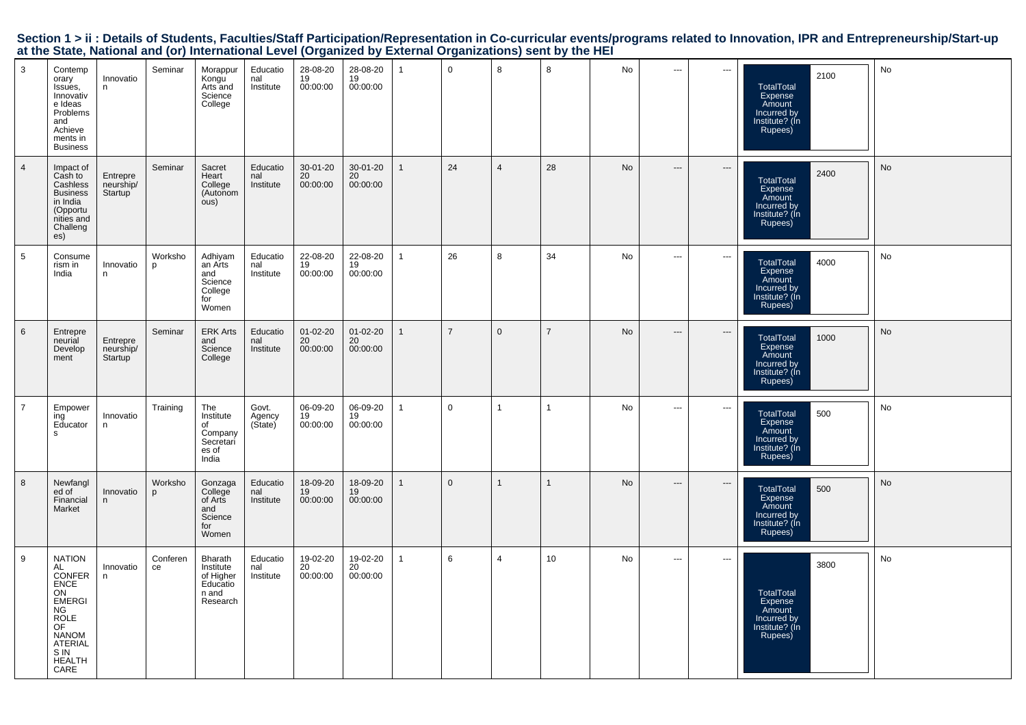| $\mathbf{3}$    | Contemp<br>orary<br>Issues,<br>Innovativ<br>e Ideas<br>Problems<br>and<br>Achieve<br>ments in<br><b>Business</b>                                                  | Innovatio<br>n                   | Seminar        | Morappur<br>Kongu<br>Arts and<br>Science<br>College                | Educatio<br>nal<br>Institute | 28-08-20<br>19<br>00:00:00 | 28-08-20<br>19<br>00:00:00 | $\mathbf{1}$ | $\mathbf 0$    | 8              | 8              | No        | $\hspace{0.05cm} \cdots$ | $\hspace{0.05cm} \ldots$ | 2100<br>TotalTotal<br>Expense<br>Amount<br>Incurred by<br>Institute? (In<br>Rupees)        | No |
|-----------------|-------------------------------------------------------------------------------------------------------------------------------------------------------------------|----------------------------------|----------------|--------------------------------------------------------------------|------------------------------|----------------------------|----------------------------|--------------|----------------|----------------|----------------|-----------|--------------------------|--------------------------|--------------------------------------------------------------------------------------------|----|
| $\overline{4}$  | Impact of<br>Cash to<br>Cashless<br><b>Business</b><br>in India<br>(Opportu<br>nities and<br>Challeng<br>es)                                                      | Entrepre<br>neurship/<br>Startup | Seminar        | Sacret<br>Heart<br>College<br>(Autonom<br>ous)                     | Educatio<br>nal<br>Institute | 30-01-20<br>20<br>00:00:00 | 30-01-20<br>20<br>00:00:00 | $\mathbf{1}$ | 24             | $\overline{4}$ | 28             | No        | $---$                    | ---                      | 2400<br><b>TotalTotal</b><br>Expense<br>Amount<br>Incurred by<br>Institute? (In<br>Rupees) | No |
| $5\phantom{.0}$ | Consume<br>rism in<br>India                                                                                                                                       | Innovatio<br>n.                  | Worksho<br>p   | Adhiyam<br>an Arts<br>and<br>Science<br>College<br>for<br>Women    | Educatio<br>nal<br>Institute | 22-08-20<br>19<br>00:00:00 | 22-08-20<br>19<br>00:00:00 | $\mathbf{1}$ | 26             | 8              | 34             | No        | $\cdots$                 | ---                      | 4000<br>TotalTotal<br>Expense<br>Amount<br>Incurred by<br>Institute? (In<br>Rupees)        | No |
| $6\phantom{1}$  | Entrepre<br>neurial<br>Develop<br>ment                                                                                                                            | Entrepre<br>neurship/<br>Startup | Seminar        | <b>ERK Arts</b><br>and<br>Science<br>College                       | Educatio<br>nal<br>Institute | 01-02-20<br>20<br>00:00:00 | 01-02-20<br>20<br>00:00:00 | $\mathbf{1}$ | $\overline{7}$ | $\mathbf 0$    | $\overline{7}$ | <b>No</b> | $\hspace{0.05cm} \cdots$ | $\hspace{0.05cm} \cdots$ | 1000<br>TotalTotal<br>Expense<br>Amount<br>Incurred by<br>Institute? (In<br>Rupees)        | No |
| $\overline{7}$  | Empower<br>ing<br>Educator<br>s                                                                                                                                   | Innovatio<br>n.                  | Training       | The<br>Institute<br>of<br>Company<br>Secretari<br>es of<br>India   | Govt.<br>Agency<br>(State)   | 06-09-20<br>19<br>00:00:00 | 06-09-20<br>19<br>00:00:00 |              | $\mathbf 0$    | $\overline{1}$ | $\mathbf{1}$   | No        | $---$                    | $\hspace{0.05cm} \ldots$ | 500<br>TotalTotal<br>Expense<br>Amount<br>Incurred by<br>Institute? (In<br>Rupees)         | No |
| 8               | Newfangl<br>ed of<br>Financial<br>Market                                                                                                                          | Innovatio<br>n                   | Worksho<br>p   | Gonzaga<br>College<br>of Arts<br>and<br>Science<br>for<br>Women    | Educatio<br>nal<br>Institute | 18-09-20<br>19<br>00:00:00 | 18-09-20<br>19<br>00:00:00 | $\mathbf{1}$ | $\overline{0}$ | $\overline{1}$ | $\mathbf{1}$   | No        | $---$                    | ---                      | 500<br>TotalTotal<br>Expense<br>Amount<br>Incurred by<br>Institute? (In<br>Rupees)         | No |
| 9               | <b>NATION</b><br>AL<br>CONFER<br><b>ENCE</b><br>ON<br><b>EMERGI</b><br>NG<br><b>ROLE</b><br>OF<br><b>NANOM</b><br><b>ATERIAL</b><br>S IN<br><b>HEALTH</b><br>CARE | Innovatio<br>n                   | Conferen<br>ce | Bharath<br>Institute<br>of Higher<br>Educatio<br>n and<br>Research | Educatio<br>nal<br>Institute | 19-02-20<br>20<br>00:00:00 | 19-02-20<br>20<br>00:00:00 | $\mathbf{1}$ | 6              | $\overline{4}$ | 10             | No        | $\hspace{0.05cm} \cdots$ | $\hspace{0.05cm} \ldots$ | 3800<br><b>TotalTotal</b><br>Expense<br>Amount<br>Incurred by<br>Institute? (In<br>Rupees) | No |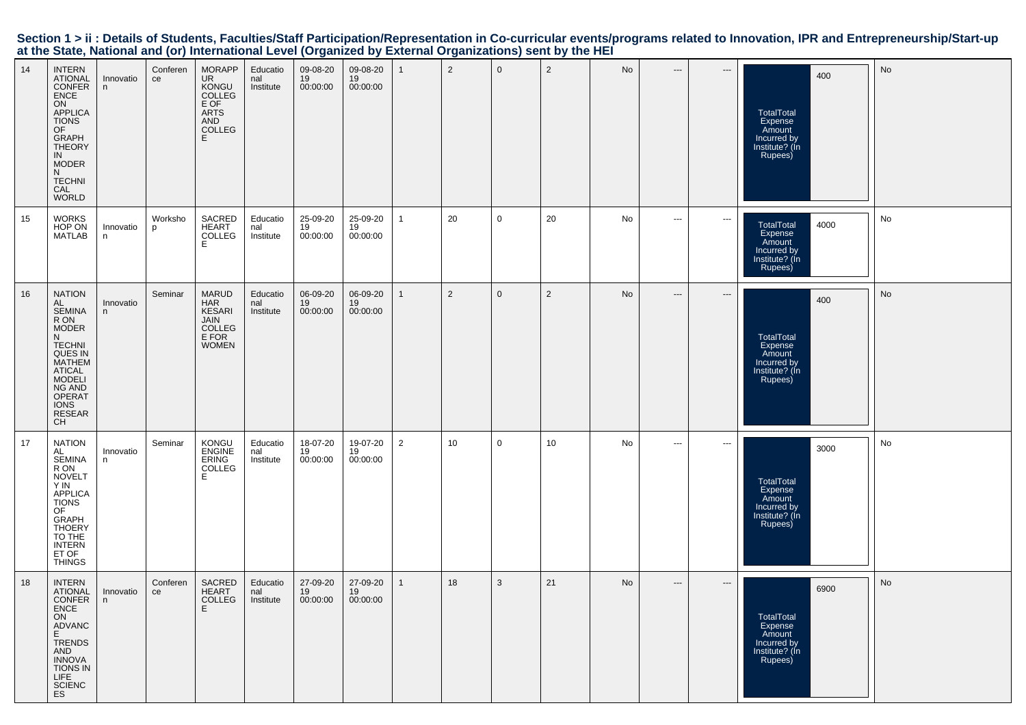| 14 | <b>INTERN</b><br><b>ATIONAL</b><br><b>CONFER</b><br>ENCE<br>ON<br>APPLICA<br><b>TIONS</b><br>OF<br>GRAPH<br>THEORY<br>IN<br><b>MODER</b><br>N.<br><b>TECHNI</b><br>CAL<br><b>WORLD</b>                     | Innovatio<br>n  | Conferen<br>ce | <b>MORAPP</b><br><b>UR</b><br>KONGU<br>COLLEG<br>E OF<br><b>ARTS</b><br>AND<br>COLLEG<br>E. | Educatio<br>nal<br>Institute | 09-08-20<br>19<br>00:00:00 | 09-08-20<br>19<br>00:00:00 |   | $\overline{2}$ | $\mathbf 0$ | $\overline{2}$ | No | ---                      | $--$                     | 400<br><b>TotalTotal</b><br>Expense<br>Amount<br>Incurred by<br>Institute? (In<br>Rupees)  | No |
|----|------------------------------------------------------------------------------------------------------------------------------------------------------------------------------------------------------------|-----------------|----------------|---------------------------------------------------------------------------------------------|------------------------------|----------------------------|----------------------------|---|----------------|-------------|----------------|----|--------------------------|--------------------------|--------------------------------------------------------------------------------------------|----|
| 15 | <b>WORKS</b><br>HOP ON<br><b>MATLAB</b>                                                                                                                                                                    | Innovatio<br>n  | Worksho<br>p   | SACRED<br>HEART<br>COLLEG<br>E                                                              | Educatio<br>nal<br>Institute | 25-09-20<br>19<br>00:00:00 | 25-09-20<br>19<br>00:00:00 |   | 20             | 0           | 20             | No | ---                      | $--$                     | 4000<br><b>TotalTotal</b><br>Expense<br>Amount<br>Incurred by<br>Institute? (Ín<br>Rupees) | No |
| 16 | <b>NATION</b><br>AL<br><b>SEMINA</b><br>R ON<br><b>MODER</b><br>N<br><b>TECHNI</b><br>QUES IN<br><b>MATHEM</b><br><b>ATICAL</b><br><b>MODELI</b><br>NG AND<br>OPERAT<br><b>IONS</b><br><b>RESEAR</b><br>CH | Innovatio<br>n  | Seminar        | <b>MARUD</b><br><b>HAR</b><br>KESARI<br>JAIN<br>COLLEG<br>E FOR<br><b>WOMEN</b>             | Educatio<br>nal<br>Institute | 06-09-20<br>19<br>00:00:00 | 06-09-20<br>19<br>00:00:00 |   | $\overline{2}$ | $\mathbf 0$ | $\overline{2}$ | No | $\hspace{0.05cm} \cdots$ | $\hspace{0.05cm} \ldots$ | 400<br><b>TotalTotal</b><br>Expense<br>Amount<br>Incurred by<br>Institute? (In<br>Rupees)  | No |
| 17 | <b>NATION</b><br>AL<br><b>SEMINA</b><br>R ON<br><b>NOVELT</b><br>Y IN<br>APPLICA<br><b>TIONS</b><br>OF<br><b>GRAPH</b><br><b>THOERY</b><br>TO THE<br><b>INTERN</b><br>ET OF<br><b>THINGS</b>               | Innovatio<br>n. | Seminar        | KONGU<br><b>ENGINE</b><br>ERING<br>COLLEG<br>E                                              | Educatio<br>nal<br>Institute | 18-07-20<br>19<br>00:00:00 | 19-07-20<br>19<br>00:00:00 | 2 | 10             | 0           | 10             | No | $\hspace{0.05cm} \ldots$ | $\hspace{0.05cm} \cdots$ | 3000<br><b>TotalTotal</b><br>Expense<br>Amount<br>Incurred by<br>Institute? (In<br>Rupees) | No |
| 18 | <b>INTERN</b><br><b>ATIONAL</b><br>CONFER<br>ENCE<br>ON<br>ADVANC<br>E<br><b>TRENDS</b><br>AND<br><b>INNOVA</b><br>TIONS IN<br>LIFE <sup>"</sup><br>SCIENC<br>ES                                           | Innovatio<br>n  | Conferen<br>ce | SACRED<br><b>HEART</b><br>COLLEG                                                            | Educatio<br>nal<br>Institute | 27-09-20<br>19<br>00:00:00 | 27-09-20<br>19<br>00:00:00 |   | 18             | 3           | 21             | No | $\hspace{0.05cm} \cdots$ | $\hspace{0.05cm} \ldots$ | 6900<br>TotalTotal<br>Expense<br>Amount<br>Incurred by<br>Institute? (Ín<br>Rupees)        | No |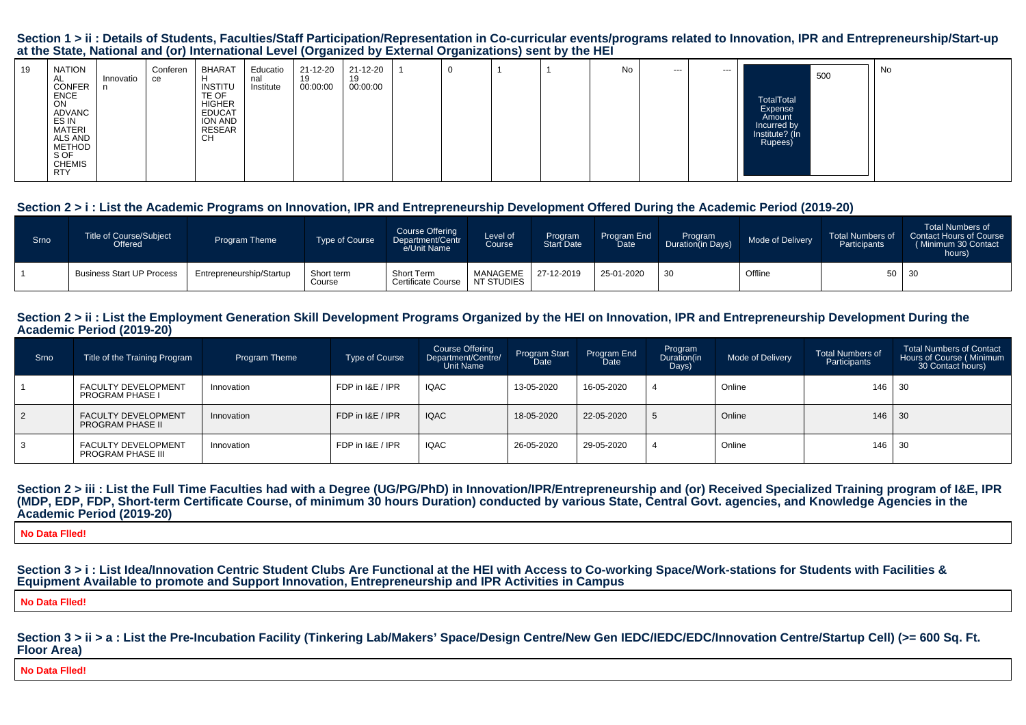#### Section 1 > ii : Details of Students, Faculties/Staff Participation/Representation in Co-curricular events/programs related to Innovation, IPR and Entrepreneurship/Start-up **at the State, National and (or) International Level (Organized by External Organizations) sent by the HEI**

| 19 | NATION<br>AL.<br><b>CONFER</b>                                   | Innovatio | Conferen<br>ce | BHARAT<br><b>INSTITU</b>                                           | Educatio<br>nal<br>Institute | 21-12-20<br>៲ວ<br>00:00:00 | 21-12-20<br>19<br>00:00:00 |  |  | No | --- | --- |                                                                  | 500 | No |
|----|------------------------------------------------------------------|-----------|----------------|--------------------------------------------------------------------|------------------------------|----------------------------|----------------------------|--|--|----|-----|-----|------------------------------------------------------------------|-----|----|
|    | <b>ENCE</b><br><b>ON</b><br>ADVANC<br>ES IN<br>MATERI<br>ALS AND |           |                | TE OF<br><b>HIGHER</b><br><b>EDUCAT</b><br>ION AND<br>RESEAR<br>CН |                              |                            |                            |  |  |    |     |     | TotalTotal<br>Expense<br>Amount<br>Incurred by<br>Institute? (In |     |    |
|    | <b>METHOD</b><br>S OF<br><b>CHEMIS</b><br><b>RTY</b>             |           |                |                                                                    |                              |                            |                            |  |  |    |     |     | Rupees)                                                          |     |    |

#### **Section 2 > i : List the Academic Programs on Innovation, IPR and Entrepreneurship Development Offered During the Academic Period (2019-20)**

| Srno | Title of Course/Subject<br>Offered | Program Theme            | Type of Course       | Course Offering<br>Department/Centr<br>e/Unit Name | Level of<br>Course     | Program<br>Start Date | Program End<br>Date | Program<br>Duration(in Days) | Mode of Delivery | <b>Total Numbers of</b><br>Participants | <b>Total Numbers of</b><br>Contact Hours of Course<br>(Minimum 30 Contact<br>hours) |
|------|------------------------------------|--------------------------|----------------------|----------------------------------------------------|------------------------|-----------------------|---------------------|------------------------------|------------------|-----------------------------------------|-------------------------------------------------------------------------------------|
|      | <b>Business Start UP Process</b>   | Entrepreneurship/Startup | Short term<br>Course | Short Term<br><b>Certificate Course</b>            | MANAGEME<br>NT STUDIES | 27-12-2019            | 25-01-2020          | 30                           | Offline          | 50 30                                   |                                                                                     |

#### Section 2 > ii : List the Employment Generation Skill Development Programs Organized by the HEI on Innovation, IPR and Entrepreneurship Development During the **Academic Period (2019-20)**

| Srno | Title of the Training Program                         | <b>Program Theme</b> | <b>Type of Course</b> | Course Offering<br>Department/Centre/<br>Unit Name | Program Start<br>Date | Program End<br><b>Date</b> | Program<br>Duration(in<br>Days) | Mode of Delivery | <b>Total Numbers of</b><br>Participants | <b>Total Numbers of Contact</b><br>Hours of Course (Minimum<br>30 Contact hours) |
|------|-------------------------------------------------------|----------------------|-----------------------|----------------------------------------------------|-----------------------|----------------------------|---------------------------------|------------------|-----------------------------------------|----------------------------------------------------------------------------------|
|      | <b>FACULTY DEVELOPMENT</b><br><b>PROGRAM PHASE I</b>  | Innovation           | FDP in I&E / IPR      | <b>IQAC</b>                                        | 13-05-2020            | 16-05-2020                 |                                 | Online           | $146$ 30                                |                                                                                  |
| 2    | <b>FACULTY DEVELOPMENT</b><br><b>PROGRAM PHASE II</b> | Innovation           | FDP in I&E / IPR      | <b>IQAC</b>                                        | 18-05-2020            | 22-05-2020                 | C.                              | Online           | $146$ 30                                |                                                                                  |
| 3    | <b>FACULTY DEVELOPMENT</b><br>PROGRAM PHASE III       | Innovation           | FDP in I&E / IPR      | <b>IQAC</b>                                        | 26-05-2020            | 29-05-2020                 |                                 | Online           | 146 30                                  |                                                                                  |

#### Section 2 > iii : List the Full Time Faculties had with a Degree (UG/PG/PhD) in Innovation/IPR/Entrepreneurship and (or) Received Specialized Training program of I&E, IPR **(MDP, EDP, FDP, Short-term Certificate Course, of minimum 30 hours Duration) conducted by various State, Central Govt. agencies, and Knowledge Agencies in theAcademic Period (2019-20)**

**No Data Flled!**

**Section 3 > i : List Idea/Innovation Centric Student Clubs Are Functional at the HEI with Access to Co-working Space/Work-stations for Students with Facilities &Equipment Available to promote and Support Innovation, Entrepreneurship and IPR Activities in Campus**

**No Data Flled!**

Section  $3 > i$  i > a : List the Pre-Incubation Facility (Tinkering Lab/Makers' Space/Design Centre/New Gen IEDC/IEDC/EDC/Innovation Centre/Startup Cell) (>= 600 Sq. Ft. **Floor Area)**

**No Data Flled!**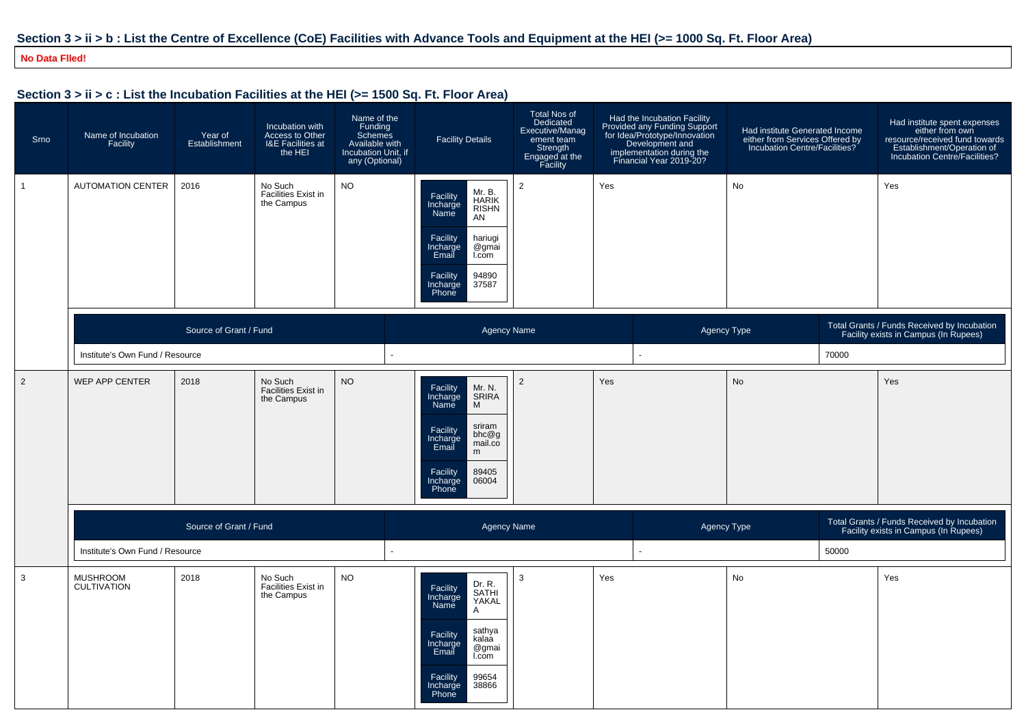## **Section 3 > ii > b : List the Centre of Excellence (CoE) Facilities with Advance Tools and Equipment at the HEI (>= 1000 Sq. Ft. Floor Area)**

#### **No Data Flled!**

| Section 3 > ii > c : List the Incubation Facilities at the HEI (>= 1500 Sq. Ft. Floor Area) |                                       |                                 |                                                                    |                                                                                              |                                                                                                                                                                                        |                                                                                                      |                                                                                                                                                                                                         |                                                                                                    |                                                                                      |                                                                                                                                                  |
|---------------------------------------------------------------------------------------------|---------------------------------------|---------------------------------|--------------------------------------------------------------------|----------------------------------------------------------------------------------------------|----------------------------------------------------------------------------------------------------------------------------------------------------------------------------------------|------------------------------------------------------------------------------------------------------|---------------------------------------------------------------------------------------------------------------------------------------------------------------------------------------------------------|----------------------------------------------------------------------------------------------------|--------------------------------------------------------------------------------------|--------------------------------------------------------------------------------------------------------------------------------------------------|
| Srno                                                                                        | Name of Incubation<br>Facility        | Year of<br>Establishment        | Incubation with<br>Access to Other<br>I&E Facilities at<br>the HEI | Name of the<br>Funding<br>Schemes<br>Available with<br>Incubation Unit, if<br>any (Optional) | <b>Facility Details</b>                                                                                                                                                                | Total Nos of<br>Dedicated<br>Executive/Manag<br>ement team<br>Strength<br>Engaged at the<br>Facility | Had the Incubation Facility<br>Frovided any Funding Support<br>Provided any Funding Support<br>for Idea/Prototype/Innovation<br>Development and<br>implementation during the<br>Financial Year 2019-20? | Had institute Generated Income<br>either from Services Offered by<br>Incubation Centre/Facilities? |                                                                                      | Had institute spent expenses<br>either from own<br>resource/received fund towards<br>Establishment/Operation of<br>Incubation Centre/Facilities? |
| $\overline{1}$                                                                              | <b>AUTOMATION CENTER</b>              | 2016                            | No Such<br>Facilities Exist in<br>the Campus                       | NO.                                                                                          | Mr. B.<br>HARIK<br>RISHN<br>Facility<br>Incharge<br>Name<br>AN<br>Facility<br>hariugi<br>Incharge<br>Email<br>@gmai<br>I.com<br>94890<br>Facility<br>Incharge<br>37587<br>Phone        | $\overline{2}$                                                                                       | Yes                                                                                                                                                                                                     | No                                                                                                 |                                                                                      | Yes                                                                                                                                              |
|                                                                                             | Source of Grant / Fund                |                                 |                                                                    | <b>Agency Name</b>                                                                           |                                                                                                                                                                                        |                                                                                                      | Agency Type                                                                                                                                                                                             |                                                                                                    | Total Grants / Funds Received by Incubation<br>Facility exists in Campus (In Rupees) |                                                                                                                                                  |
|                                                                                             |                                       | Institute's Own Fund / Resource |                                                                    |                                                                                              |                                                                                                                                                                                        |                                                                                                      | 70000                                                                                                                                                                                                   |                                                                                                    |                                                                                      |                                                                                                                                                  |
| 2                                                                                           | WEP APP CENTER                        | 2018                            | No Such<br><b>Facilities Exist in</b><br>the Campus                | <b>NO</b>                                                                                    | Mr. N.<br>Facility<br>Incharge<br>SRIRA<br>M<br>Name<br>sriram<br>Facility<br>bhc@g<br>Incharge<br>Email<br>mail.co<br>m<br>Facility<br>89405<br>06004<br>ncharge<br>Phone             | $\overline{2}$                                                                                       | Yes                                                                                                                                                                                                     | No                                                                                                 |                                                                                      | Yes                                                                                                                                              |
|                                                                                             | Source of Grant / Fund                |                                 |                                                                    | <b>Agency Name</b>                                                                           |                                                                                                                                                                                        |                                                                                                      | Agency Type                                                                                                                                                                                             |                                                                                                    | Total Grants / Funds Received by Incubation<br>Facility exists in Campus (In Rupees) |                                                                                                                                                  |
|                                                                                             | Institute's Own Fund / Resource       |                                 |                                                                    |                                                                                              |                                                                                                                                                                                        | 50000                                                                                                |                                                                                                                                                                                                         |                                                                                                    |                                                                                      |                                                                                                                                                  |
| $\mathbf{3}$                                                                                | <b>MUSHROOM</b><br><b>CULTIVATION</b> | 2018                            | No Such<br>Facilities Exist in<br>the Campus                       | <b>NO</b>                                                                                    | Dr. R.<br>SATHI<br>YAKAL<br>Facility<br>Incharge<br>Name<br>A<br>sathya<br>Facility<br>kalaa<br>Incharge<br>@gmai<br>Email<br>I.com<br>99654<br>Facility<br>38866<br>Incharge<br>Phone | 3                                                                                                    | Yes                                                                                                                                                                                                     | No                                                                                                 |                                                                                      | Yes                                                                                                                                              |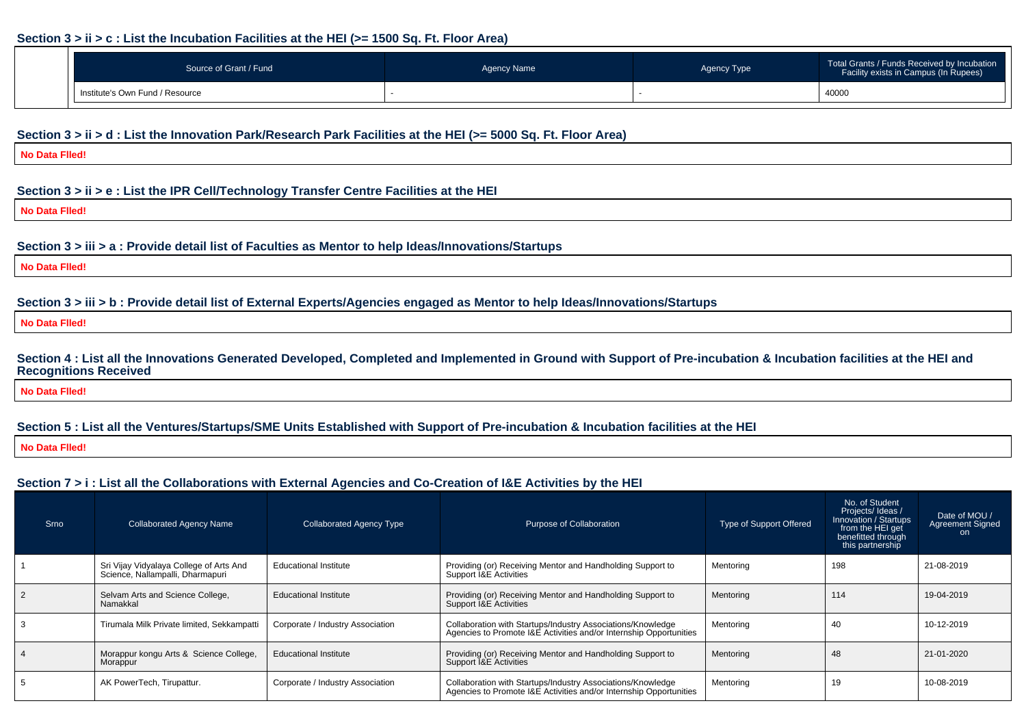#### **Section 3 > ii > c : List the Incubation Facilities at the HEI (>= 1500 Sq. Ft. Floor Area)**

| Source of Grant / Fund          | <b>Agency Name</b> | Agency Type | Total Grants / Funds Received by Incubation<br>Facility exists in Campus (In Rupees) |  |
|---------------------------------|--------------------|-------------|--------------------------------------------------------------------------------------|--|
| Institute's Own Fund / Resource |                    |             | 40000                                                                                |  |

#### **Section 3 > ii > d : List the Innovation Park/Research Park Facilities at the HEI (>= 5000 Sq. Ft. Floor Area)**

**No Data Flled!**

#### **Section 3 > ii > e : List the IPR Cell/Technology Transfer Centre Facilities at the HEI**

**No Data Flled!**

#### **Section 3 > iii > a : Provide detail list of Faculties as Mentor to help Ideas/Innovations/Startups**

**No Data Flled!**

#### **Section 3 > iii > b : Provide detail list of External Experts/Agencies engaged as Mentor to help Ideas/Innovations/Startups**

**No Data Flled!**

**Section 4 : List all the Innovations Generated Developed, Completed and Implemented in Ground with Support of Pre-incubation & Incubation facilities at the HEI andRecognitions Received**

**No Data Flled!**

## **Section 5 : List all the Ventures/Startups/SME Units Established with Support of Pre-incubation & Incubation facilities at the HEI**

**No Data Flled!**

## **Section 7 > i : List all the Collaborations with External Agencies and Co-Creation of I&E Activities by the HEI**

| Srno | <b>Collaborated Agency Name</b>                                             | <b>Collaborated Agency Type</b>  | Purpose of Collaboration                                                                                                          | Type of Support Offered | No. of Student<br>Projects/ Ideas /<br>Innovation / Startups<br>from the HEI get<br>benefitted through<br>this partnership | Date of MOU /<br><b>Agreement Signed</b><br>on. |
|------|-----------------------------------------------------------------------------|----------------------------------|-----------------------------------------------------------------------------------------------------------------------------------|-------------------------|----------------------------------------------------------------------------------------------------------------------------|-------------------------------------------------|
|      | Sri Vijay Vidyalaya College of Arts And<br>Science, Nallampalli, Dharmapuri | Educational Institute            | Providing (or) Receiving Mentor and Handholding Support to<br>Support I&E Activities                                              | Mentoring               | 198                                                                                                                        | 21-08-2019                                      |
|      | Selvam Arts and Science College,<br>Namakkal                                | <b>Educational Institute</b>     | Providing (or) Receiving Mentor and Handholding Support to<br>Support I&E Activities                                              | Mentoring               | 114                                                                                                                        | 19-04-2019                                      |
|      | Tirumala Milk Private limited, Sekkampatti                                  | Corporate / Industry Association | Collaboration with Startups/Industry Associations/Knowledge<br>Agencies to Promote I&E Activities and/or Internship Opportunities | Mentoring               | -40                                                                                                                        | 10-12-2019                                      |
|      | Morappur kongu Arts & Science College,<br>Morappur                          | <b>Educational Institute</b>     | Providing (or) Receiving Mentor and Handholding Support to<br>Support I&E Activities                                              | Mentoring               | 48                                                                                                                         | 21-01-2020                                      |
|      | AK PowerTech, Tirupattur.                                                   | Corporate / Industry Association | Collaboration with Startups/Industry Associations/Knowledge<br>Agencies to Promote I&E Activities and/or Internship Opportunities | Mentoring               | 19                                                                                                                         | 10-08-2019                                      |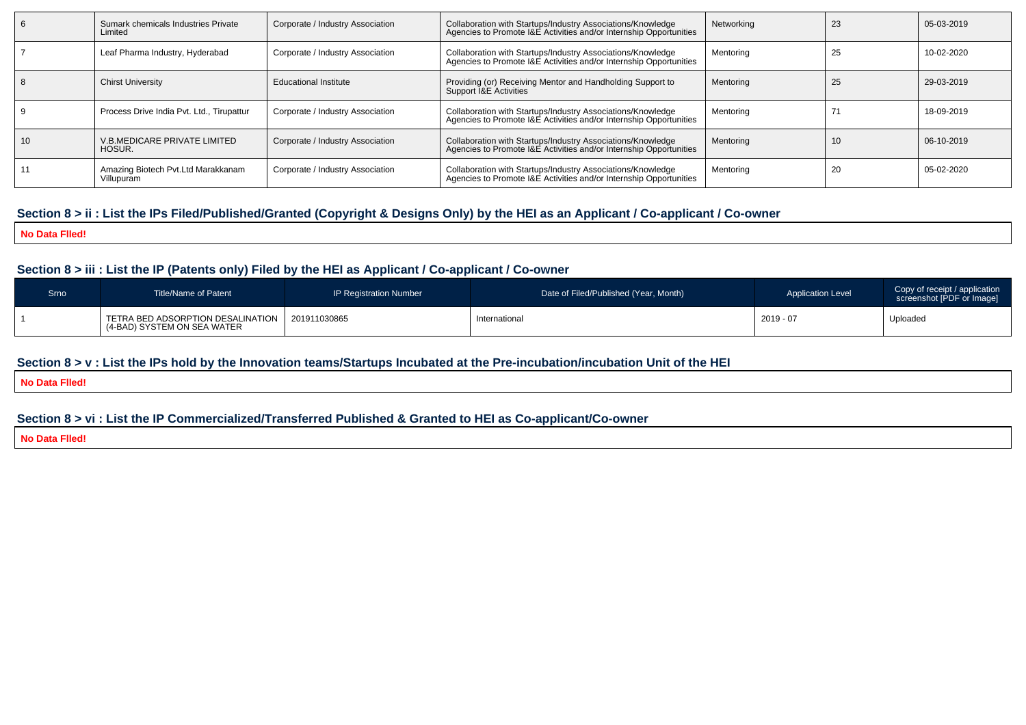|    | Sumark chemicals Industries Private<br>Limited   | Corporate / Industry Association | Collaboration with Startups/Industry Associations/Knowledge<br>Agencies to Promote I&E Activities and/or Internship Opportunities | Networking | 23 | 05-03-2019 |
|----|--------------------------------------------------|----------------------------------|-----------------------------------------------------------------------------------------------------------------------------------|------------|----|------------|
|    | Leaf Pharma Industry, Hyderabad                  | Corporate / Industry Association | Collaboration with Startups/Industry Associations/Knowledge<br>Agencies to Promote I&E Activities and/or Internship Opportunities | Mentoring  | 25 | 10-02-2020 |
|    | <b>Chirst University</b>                         | <b>Educational Institute</b>     | Providing (or) Receiving Mentor and Handholding Support to<br>Support I&E Activities                                              | Mentoring  | 25 | 29-03-2019 |
|    | Process Drive India Pvt. Ltd., Tirupattur        | Corporate / Industry Association | Collaboration with Startups/Industry Associations/Knowledge<br>Agencies to Promote I&E Activities and/or Internship Opportunities | Mentoring  |    | 18-09-2019 |
| 10 | V.B.MEDICARE PRIVATE LIMITED<br>HOSUR.           | Corporate / Industry Association | Collaboration with Startups/Industry Associations/Knowledge<br>Agencies to Promote I&E Activities and/or Internship Opportunities | Mentoring  | 10 | 06-10-2019 |
|    | Amazing Biotech Pvt.Ltd Marakkanam<br>Villupuram | Corporate / Industry Association | Collaboration with Startups/Industry Associations/Knowledge<br>Agencies to Promote I&E Activities and/or Internship Opportunities | Mentoring  | 20 | 05-02-2020 |

## **Section 8 > ii : List the IPs Filed/Published/Granted (Copyright & Designs Only) by the HEI as an Applicant / Co-applicant / Co-owner**

**No Data Flled!**

## **Section 8 > iii : List the IP (Patents only) Filed by the HEI as Applicant / Co-applicant / Co-owner**

| Srno | Title/Name of Patent                                               | IP Registration Number | Date of Filed/Published (Year, Month) | <b>Application Level</b> | Copy of receipt / application<br>screenshot [PDF or Image] |
|------|--------------------------------------------------------------------|------------------------|---------------------------------------|--------------------------|------------------------------------------------------------|
|      | TETRA BED ADSORPTION DESALINATION  <br>(4-BAD) SYSTEM ON SEA WATER | 201911030865           | International                         | 2019 - 07                | Uploaded                                                   |

## **Section 8 > v : List the IPs hold by the Innovation teams/Startups Incubated at the Pre-incubation/incubation Unit of the HEI**

**No Data Flled!**

## **Section 8 > vi : List the IP Commercialized/Transferred Published & Granted to HEI as Co-applicant/Co-owner**

**No Data Flled!**